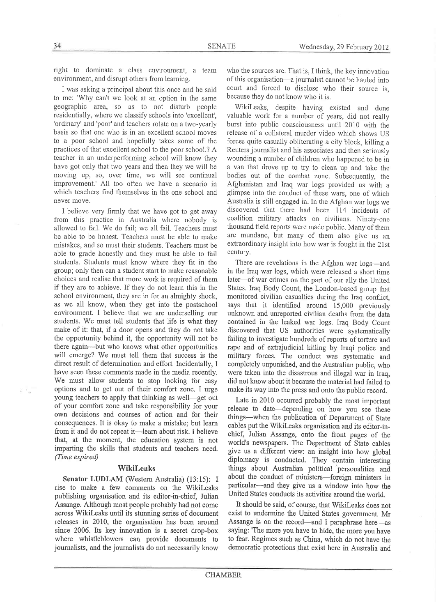right to dominate a class environment, a team environment, and disrupt others fiom learning.

I was asking a principal about this once and he said to me: 'Why can't we look at an option in the same geographic area, so as to not disturb people residentially, where we classify schools into 'excellent', 'ordinary' and 'poor' and teachers rotate on a two-yearly basis so that one who is in an excellent school moves to a poor school and hopefully takes some of the practices of that excellent school to the poor school.? A teacher in an underperfonning school will know they have got only that two years and then they we will be moving up, so, over time, we will see continual improvement.' All too often we have a scenario in which teachers find themselves in the one school and never nove.

I believe very firmly that we have got to get away from this practice in Australia where nobody is allowed to fail. We do fail; we all fail. Teachers must be able to be honest. Teachers must be able to make mistakes, and so must their students. Teachers must be able to grade honestly and they must be able to fail students. Students must know where they fit in the group; only then can a student start to make reasonable choices and reaiise that more work is required of them if they are to achieve. If they do not learn this in the school environment, they are in for an almighty shock, as we all know, when they get into the postschool environment. I believe that we are underselling our students. 'We must tell students that life is what they make of it: that, if a door opens and they do not take the opportunity behind it, the opportunity will not be there again-but who knows what other oppofunities will emerge? We must tell them that success is the direct result of determination and effort. Incidentally, I have seen these comments made in the media recently. We must allow students to stop looking for easy options and to get out of their comfort zone. I urge young teachers to apply that thinking as well-get out of your comfort zone and take responsibility for your own decisions and courses of action and for their consequences. It is okay to make a mistake; but learn from it and do not repeat it-learn about risk. I believe that, at the moment, the education system is not imparting the skills that students and teachers need. (Time expired)

## WikiLeaks

Senator LUDLAM (Western Australia) (13:15): I rise to make a few comments on the Wikileaks publishing organisation and its editor-in-chief, Julian Assange. Although most people probably had not come across Wikileaks until its stunning series of document releases in 2010, the organisation has been around since 2006. Its key innovation is a secret drop-box where whistleblowers can provide documents to journalists, and the journalists do not necessarily know

who the sources are. That is, I think, the key imovation of this organisation-a journalist cannot be hauled into court and forced to disclose who their source is, because they do not know who it is.

Wikileaks, despite having existed and done valuable work for a number of years, did not really burst into public consciousness until 2010 with the release of a collateral murder video which shows US forces quite casually obliterating a city block, killing <sup>a</sup> Reuters journalist and his associates and then seriously wounding a number of children who happened to be in a van that drove up to try to clean up and take the bodies out of the combat zone. Subsequently, the Afghanistan and Iraq war logs provided us with <sup>a</sup> glimpse into the conduct of these wars, one of which Australia is still engaged in. In the Afghan war logs we discovered that there had been 114 incidents of coalition military attacks on civilians. Ninety-one thousand field reports were made public. Many of them are mundane, but many of them also give us an extraordinary insight into how war is fought in the 21st century.

There are revelations in the Afghan war logs-and in the Iraq war logs, which were released a short time later-of war crimes on the part of our ally the United States. Iraq Body Count, the London-based group that monitored civilian casualties during the Iraq conflict, says that it identified around 15,000 previously unknown and unreported civilian deaths from the data contained in the leaked war logs. Iraq Body Count discovered that US authorities were systematically failing to investigate hundreds of reports of torture and rape and of extrajudicial killing by Iraqi police and military forces. The conduct was systematic and completely unpunished, and the Australian public, who were taken into the disastrous and illegal war in Iraq, did not know about it because the material had failed to make its way into the press and onto the public record.

Late in 2010 occurred probably the most inportant release to date—depending on how you see these things-when the publication of Department of State cables put the Wikileaks organisation and its editor-inchief, Julian Assange, onto the front pages of the world's newspapers. The Departrnent of State cables give us a different view: an insight into how global diplomacy is conducted. They contain interesting things about Australian political personalities and about the conduct of ministers-foreign ministers in particular-and they give us a window into how the United States conducts its activities around the world.

It should be said, of course, that Wikileaks does not exist to undermine the United States government. Mr Assange is on the record—and I paraphrase here—as saying: 'The more you have to hide, the more you have to fear. Regimes such as China, which do not have the democratic protections that exist here in Australia and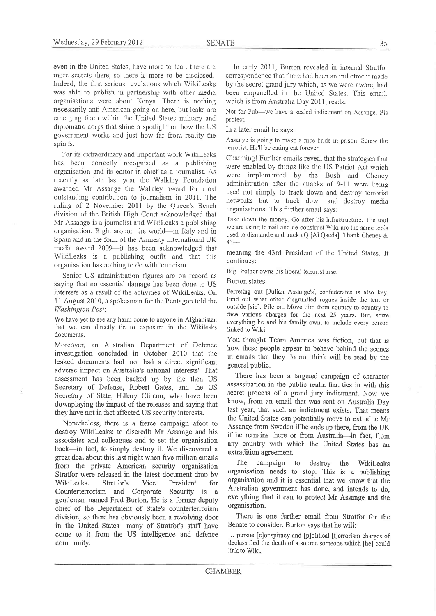even in the United States, have more to fear: there are more secrets there, so there is more to be disclosed.' Indeed, the first serious revelations which Wikileaks was able to publish in partnership with other media organisations were about Kenya. There is nothing necessarily anti-American going on here, but leaks are emerging fiom within the United States military and diplomatic corps that shine a spotlight on how the US government works and just how far from reality the spin is.

For its extraordinary and important work Wikileaks has been corectly recognised as a publishing organisation and its editor-in-chief as a joumalist. As recently as late last year the Walkley Foundation awarded Mr Assange the Walkley award for most outstanding contribution to journalism in 20i1. The ruling of 2 November 2011 by the Queen's Bench divisìon of the British High Court acknowledged that Mr Assange is a joumalist and Wikileaks a publishing organisation. Right around the world-in Italy and in Spain and in the form of the Amnesty Intemational UK media award 2009-it has been acknowledged that Wikileaks is a publishing outfit and that this organisation has nothing to do with terrorism.

Senior US administration figures are on record as saying that no essential damage has been done to US interests as a result of the activities of Wikileaks. On 1l August 2010, a spokesman for the Pentagon told the Washington Posl:

We have yet to see any harm come to anyone in Afghanistan that we can directly tie to exposure in the Wikileaks documents.

Moreover, an Australian Department of Defence investigation concluded in October 2010 that the leaked documents had 'not had a direct significant adverse impact on Australia's national interests'. That assessment has been backed up by the then US Secretary of Defense, Robert Gates, and the US Secretary of State, Hillary Clinton, who have been downplaying the impact of the releases and saying that they have not in fact affected US security interests.

Nonetheless, there is a fierce campaign afoot to destroy Wikileaks: to discredit Mr Assange and his associates and colleagues and to set the organisation back-in fact, to simply destroy it. We discovered <sup>a</sup> great deal about this last night when five million emails from the private American security organisation Stratfor were released in the latest document drop by Wikileaks. Stratfor's Vice President for Counterterrorism and Corporate Security is <sup>a</sup> gentleman named Fred Burton. He is a former deputy chief of the Depafment of State's counterterrorism division, so there has obviously been a revolving door in the United States-many of Stratfor's staff have come to it from the US intelligence and defence community.

In early 2011, Burton revealed in internal Stratfor correspondence that there had been an indictment made by the secret grand jury which, as we were aware, had been empanelled in the United States. This email, which is from Australia Day 2011, reads:

Not for Pub-we have a sealed indictment on Assange. Pls protect.

In a later email he says:

Assange is going to make a nice bride in prison. Screw the tenorist. He'li be eating cat forever.

Charming! Further emails reveal that the strategies that were enabled by things like the US Patriot Act which were implemented by the Bush and Cheney administration after the attacks of 9-11 were being used not simply to track down and destroy terrorist networks but to track down and destroy nedia organisations. This fufher email says:

Take down the money. Go after his infrastructure. The tool we are using to nail and de-construct Wiki are the same tools used to dismantle and track aQ [Ai Qaeda]. Thank Cheney &  $43-$ 

meaning the 43¡d President of the Unìted States. It continues:

Big Brother owns his liberal tenorist arse.

Burton states:

Ferreting out fJulian Assange's] confederates is also key. Find out what other disgruntled rogues inside the tent or outside [sic]. Pile on. Move him from country to country to face various charges for the next 25 years. But, seize everything he and his family own, to include every person linked to Wiki.

You thought Team America was fiction, but that is how these people appear to behave behind the scenes in emails that they do not think will be read by the general public.

There has been a targeted campaign of character assassination in the public realm that ties in with this secret process of a grand jury indictment. Now we know, from an email that was sent on Australia Day last year, that such an indictment exists. That means the United States can potentially move to extradite Mr Assange from Sweden if he ends up there, from the UK if he remains there or from Australia-in fact, from any country with which the United States has an extradition agreement.

The campaign to destroy the WikiLeaks organisation needs to stop. This is a publishing organisation and it is essential that we know that the Australian govemment has done, and intends to do, everything that it can to protect Mr Assange and the organisation.

There is one further email from Stratfor for the Senate to consider. Burton says that he will:

... pursue [c]onspiracy and [p]olitical [t]errorism charges of declassified the death of a source someone which [he] could link to Wiki.